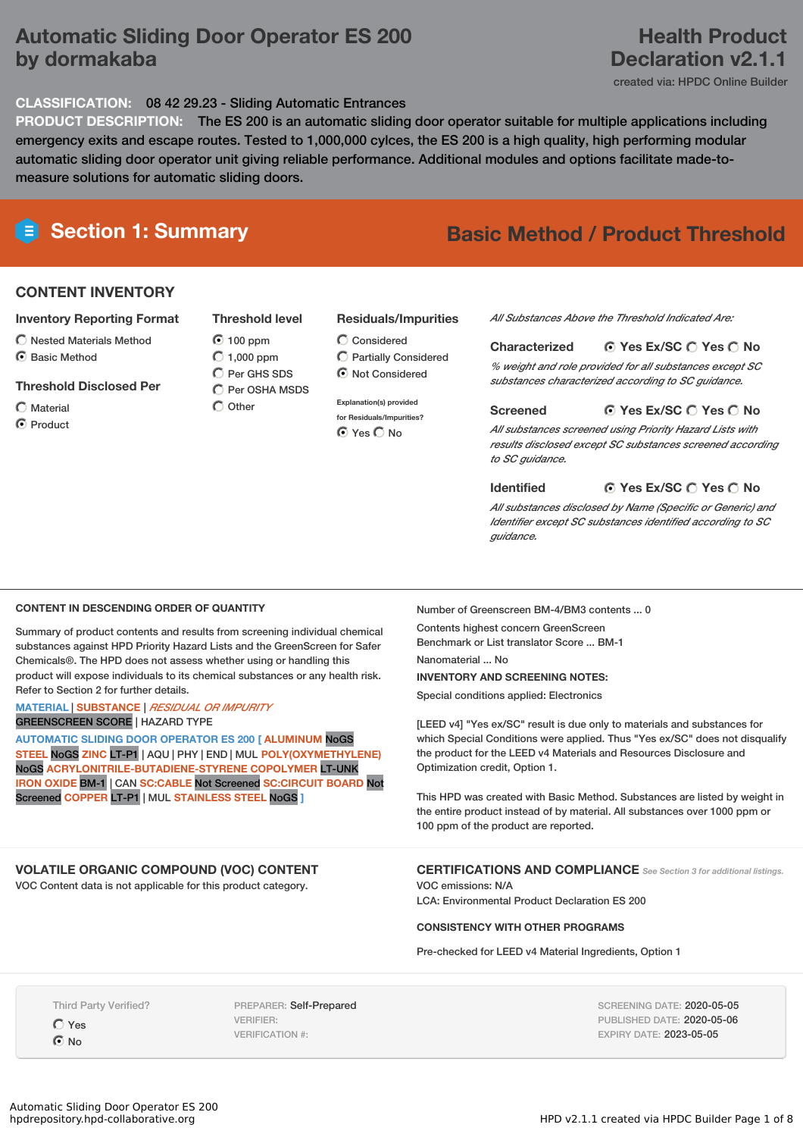# **Automatic Sliding Door Operator ES 200 by dormakaba**

# **Health Product Declaration v2.1.1**

created via: HPDC Online Builder

## **CLASSIFICATION:** 08 42 29.23 - Sliding Automatic Entrances

**PRODUCT DESCRIPTION:** The ES 200 is an automatic sliding door operator suitable for multiple applications including emergency exits and escape routes. Tested to 1,000,000 cylces, the ES 200 is a high quality, high performing modular automatic sliding door operator unit giving reliable performance. Additional modules and options facilitate made-tomeasure solutions for automatic sliding doors.

# **Section 1: Summary Basic Method / Product Threshold**

## **CONTENT INVENTORY**

### **Inventory Reporting Format**

- $\bigcirc$  Nested Materials Method
- C Basic Method

#### **Threshold Disclosed Per**

Material

C Product

 $\bigcirc$  Other

## **Residuals/Impurities**

- Considered Partially Considered  $\odot$  Not Considered
- **Explanation(s) provided for Residuals/Impurities?** ⊙ Yes O No

*All Substances Above the Threshold Indicated Are:*

#### **Yes Ex/SC Yes No Characterized**

*% weight and role provided for all substances except SC substances characterized according to SC guidance.*

#### **Yes Ex/SC Yes No Screened**

*All substances screened using Priority Hazard Lists with results disclosed except SC substances screened according to SC guidance.*

**Identified**

#### **Yes Ex/SC Yes No**

*All substances disclosed by Name (Specific or Generic) and Identifier except SC substances identified according to SC guidance.*

### **CONTENT IN DESCENDING ORDER OF QUANTITY**

Summary of product contents and results from screening individual chemical substances against HPD Priority Hazard Lists and the GreenScreen for Safer Chemicals®. The HPD does not assess whether using or handling this product will expose individuals to its chemical substances or any health risk. Refer to Section 2 for further details.

#### **MATERIAL** | **SUBSTANCE** | *RESIDUAL OR IMPURITY* GREENSCREEN SCORE | HAZARD TYPE

**AUTOMATIC SLIDING DOOR OPERATOR ES 200 [ ALUMINUM** NoGS **STEEL** NoGS **ZINC** LT-P1 | AQU | PHY | END | MUL **POLY(OXYMETHYLENE)** NoGS **ACRYLONITRILE-BUTADIENE-STYRENE COPOLYMER** LT-UNK **IRON OXIDE** BM-1 | CAN **SC:CABLE** Not Screened **SC:CIRCUIT BOARD** Not Screened **COPPER** LT-P1 | MUL **STAINLESS STEEL** NoGS **]**

## **VOLATILE ORGANIC COMPOUND (VOC) CONTENT**

VOC Content data is not applicable for this product category.

Number of Greenscreen BM-4/BM3 contents ... 0

Contents highest concern GreenScreen Benchmark or List translator Score ... BM-1 Nanomaterial ... No

**INVENTORY AND SCREENING NOTES:** Special conditions applied: Electronics

[LEED v4] "Yes ex/SC" result is due only to materials and substances for which Special Conditions were applied. Thus "Yes ex/SC" does not disqualify the product for the LEED v4 Materials and Resources Disclosure and Optimization credit, Option 1.

This HPD was created with Basic Method. Substances are listed by weight in the entire product instead of by material. All substances over 1000 ppm or 100 ppm of the product are reported.

**CERTIFICATIONS AND COMPLIANCE** *See Section <sup>3</sup> for additional listings.*

VOC emissions: N/A LCA: Environmental Product Declaration ES 200

#### **CONSISTENCY WITH OTHER PROGRAMS**

Pre-checked for LEED v4 Material Ingredients, Option 1

Third Party Verified?

Yes **⊙**No

PREPARER: Self-Prepared VERIFIER: VERIFICATION #:

SCREENING DATE: 2020-05-05 PUBLISHED DATE: 2020-05-06 EXPIRY DATE: 2023-05-05

# **Threshold level** 100 ppm  $O$  1.000 ppm C Per GHS SDS

 $\overline{O}$  Per OSHA MSDS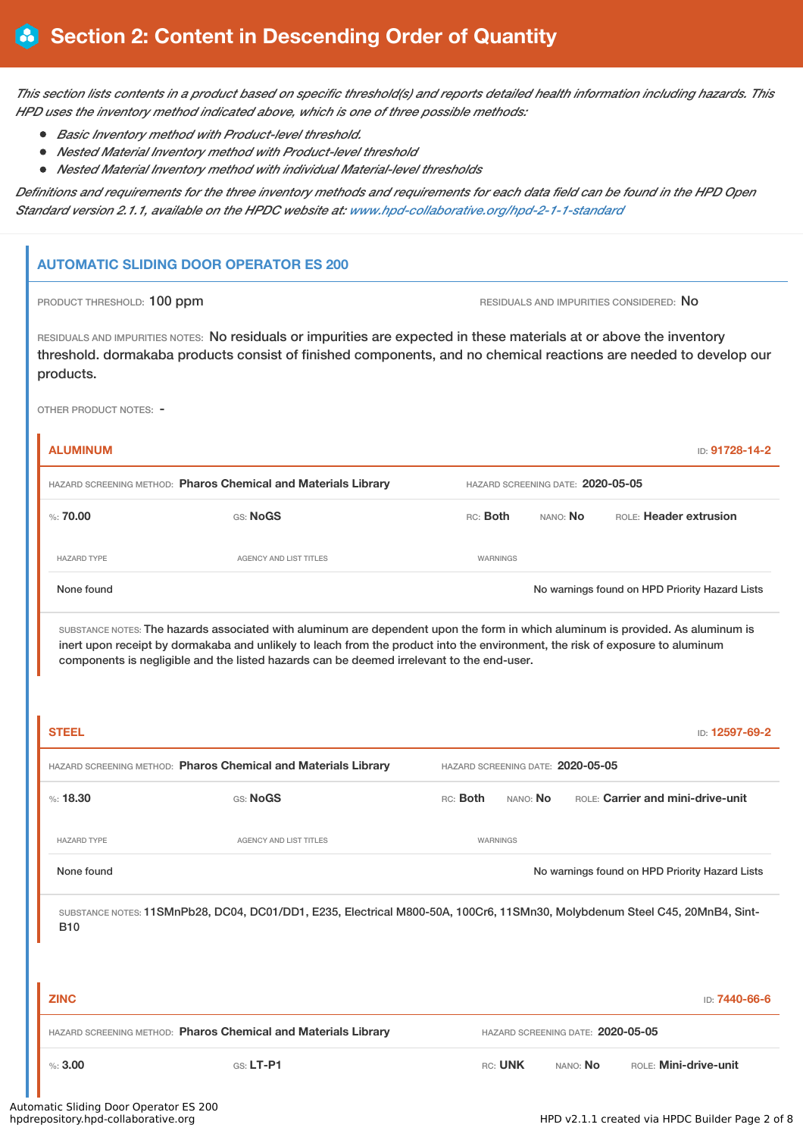This section lists contents in a product based on specific threshold(s) and reports detailed health information including hazards. This *HPD uses the inventory method indicated above, which is one of three possible methods:*

- *Basic Inventory method with Product-level threshold.*
- *Nested Material Inventory method with Product-level threshold*
- *Nested Material Inventory method with individual Material-level thresholds*

Definitions and requirements for the three inventory methods and requirements for each data field can be found in the HPD Open *Standard version 2.1.1, available on the HPDC website at: [www.hpd-collaborative.org/hpd-2-1-1-standard](https://www.hpd-collaborative.org/hpd-2-1-1-standard)*

# **AUTOMATIC SLIDING DOOR OPERATOR ES 200**

PRODUCT THRESHOLD: 100 ppm **RESIDUALS AND IMPURITIES CONSIDERED:** No

RESIDUALS AND IMPURITIES NOTES: No residuals or impurities are expected in these materials at or above the inventory threshold. dormakaba products consist of finished components, and no chemical reactions are needed to develop our products.

OTHER PRODUCT NOTES: -

| <b>ALUMINUM</b>                                                |                               |          |                                   | ID: 91728-14-2                                 |
|----------------------------------------------------------------|-------------------------------|----------|-----------------------------------|------------------------------------------------|
| HAZARD SCREENING METHOD: Pharos Chemical and Materials Library |                               |          | HAZARD SCREENING DATE: 2020-05-05 |                                                |
| %: $70.00$                                                     | GS: NoGS                      | RC: Both | nano: <b>No</b>                   | ROLE: Header extrusion                         |
| <b>HAZARD TYPE</b>                                             | <b>AGENCY AND LIST TITLES</b> | WARNINGS |                                   |                                                |
| None found                                                     |                               |          |                                   | No warnings found on HPD Priority Hazard Lists |

SUBSTANCE NOTES: The hazards associated with aluminum are dependent upon the form in which aluminum is provided. As aluminum is inert upon receipt by dormakaba and unlikely to leach from the product into the environment, the risk of exposure to aluminum components is negligible and the listed hazards can be deemed irrelevant to the end-user.

| <b>STEEL</b>                       |                                                                                                                             |                                   |          |                                   |                                   | ID: 12597-69-2                                 |
|------------------------------------|-----------------------------------------------------------------------------------------------------------------------------|-----------------------------------|----------|-----------------------------------|-----------------------------------|------------------------------------------------|
|                                    | HAZARD SCREENING METHOD: Pharos Chemical and Materials Library                                                              | HAZARD SCREENING DATE: 2020-05-05 |          |                                   |                                   |                                                |
| %: 18.30                           | GS: NoGS                                                                                                                    | RC: Both                          | NANO: No |                                   | ROLE: Carrier and mini-drive-unit |                                                |
| <b>HAZARD TYPE</b>                 | <b>AGENCY AND LIST TITLES</b>                                                                                               | WARNINGS                          |          |                                   |                                   |                                                |
| None found                         |                                                                                                                             |                                   |          |                                   |                                   | No warnings found on HPD Priority Hazard Lists |
| <b>B10</b>                         | SUBSTANCE NOTES: 11SMnPb28, DC04, DC01/DD1, E235, Electrical M800-50A, 100Cr6, 11SMn30, Molybdenum Steel C45, 20MnB4, Sint- |                                   |          |                                   |                                   |                                                |
| <b>ZINC</b>                        |                                                                                                                             |                                   |          |                                   |                                   | ID: 7440-66-6                                  |
|                                    | HAZARD SCREENING METHOD: Pharos Chemical and Materials Library                                                              |                                   |          | HAZARD SCREENING DATE: 2020-05-05 |                                   |                                                |
| %3.00                              | GS: LT-P1                                                                                                                   | RC: UNK                           |          | NANO: No                          |                                   | ROLE: Mini-drive-unit                          |
| natic Cliding Door Operator EC 200 |                                                                                                                             |                                   |          |                                   |                                   |                                                |

# Automatic Sliding Door Operator ES<br>hpdrepository.hpd-collaborative.org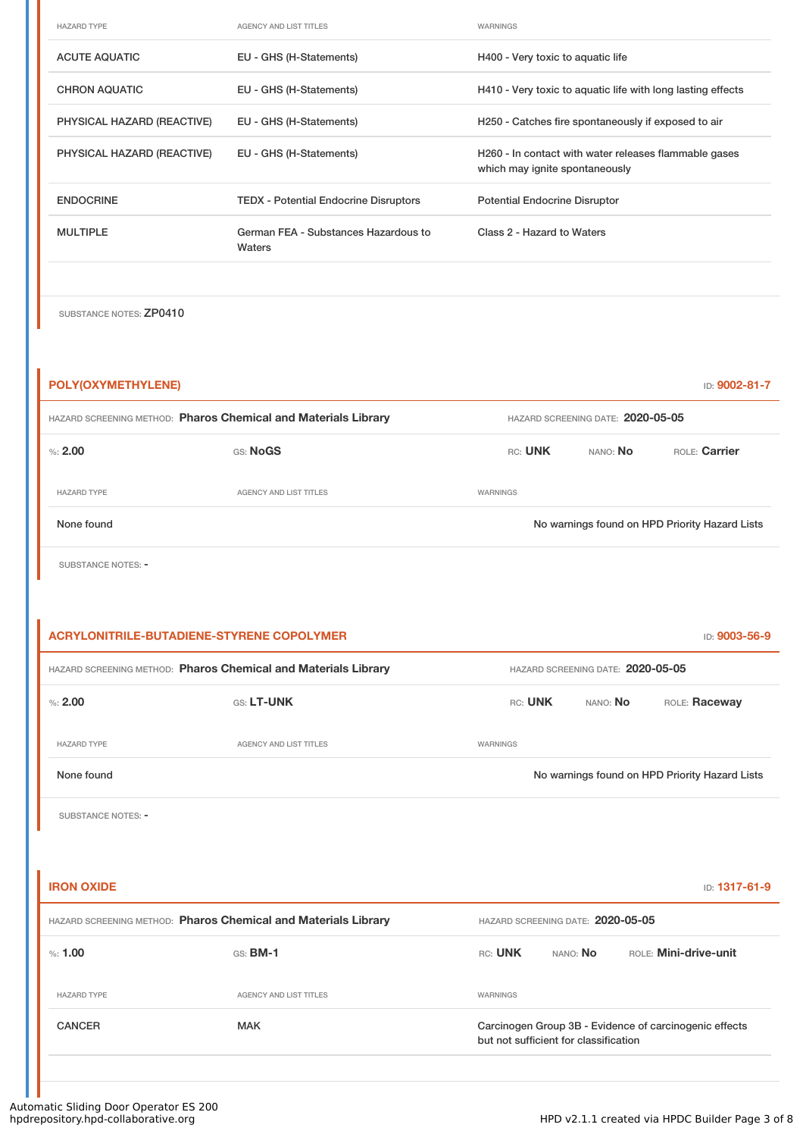| <b>HAZARD TYPE</b>         | <b>AGENCY AND LIST TITLES</b>                  | <b>WARNINGS</b>                                                                         |
|----------------------------|------------------------------------------------|-----------------------------------------------------------------------------------------|
| <b>ACUTE AQUATIC</b>       | EU - GHS (H-Statements)                        | H400 - Very toxic to aquatic life                                                       |
| <b>CHRON AQUATIC</b>       | EU - GHS (H-Statements)                        | H410 - Very toxic to aquatic life with long lasting effects                             |
| PHYSICAL HAZARD (REACTIVE) | EU - GHS (H-Statements)                        | H250 - Catches fire spontaneously if exposed to air                                     |
| PHYSICAL HAZARD (REACTIVE) | EU - GHS (H-Statements)                        | H260 - In contact with water releases flammable gases<br>which may ignite spontaneously |
| <b>ENDOCRINE</b>           | <b>TEDX</b> - Potential Endocrine Disruptors   | <b>Potential Endocrine Disruptor</b>                                                    |
| <b>MULTIPLE</b>            | German FEA - Substances Hazardous to<br>Waters | Class 2 - Hazard to Waters                                                              |
|                            |                                                |                                                                                         |

SUBSTANCE NOTES: ZP0410

| <b>POLY(OXYMETHYLENE)</b>                                      |                               |                                   |          | ID: 9002-81-7                                  |
|----------------------------------------------------------------|-------------------------------|-----------------------------------|----------|------------------------------------------------|
| HAZARD SCREENING METHOD: Pharos Chemical and Materials Library |                               | HAZARD SCREENING DATE: 2020-05-05 |          |                                                |
| %2.00                                                          | GS: NoGS                      | RC: UNK                           | NANO: No | ROLE: Carrier                                  |
| <b>HAZARD TYPE</b>                                             | <b>AGENCY AND LIST TITLES</b> | WARNINGS                          |          |                                                |
| None found                                                     |                               |                                   |          | No warnings found on HPD Priority Hazard Lists |

SUBSTANCE NOTES: -

|                    | ACRYLONITRILE-BUTADIENE-STYRENE COPOLYMER                      |                                   |          | ID: 9003-56-9                                  |
|--------------------|----------------------------------------------------------------|-----------------------------------|----------|------------------------------------------------|
|                    | HAZARD SCREENING METHOD: Pharos Chemical and Materials Library | HAZARD SCREENING DATE: 2020-05-05 |          |                                                |
| $\%: 2.00$         | <b>GS: LT-UNK</b>                                              | RC: UNK                           | NANO: NO | ROLE: Raceway                                  |
| <b>HAZARD TYPE</b> | AGENCY AND LIST TITLES                                         | <b>WARNINGS</b>                   |          |                                                |
| None found         |                                                                |                                   |          | No warnings found on HPD Priority Hazard Lists |

SUBSTANCE NOTES: -

| <b>IRON OXIDE</b>  |                                                                | <b>ID: 1317-61-9</b>                                                                            |
|--------------------|----------------------------------------------------------------|-------------------------------------------------------------------------------------------------|
|                    | HAZARD SCREENING METHOD: Pharos Chemical and Materials Library | HAZARD SCREENING DATE: 2020-05-05                                                               |
| $\%: 1.00$         | $GS:$ BM-1                                                     | <b>ROLE: Mini-drive-unit</b><br>RC: UNK<br>NANO: <b>No</b>                                      |
| <b>HAZARD TYPE</b> | <b>AGENCY AND LIST TITLES</b>                                  | WARNINGS                                                                                        |
| <b>CANCER</b>      | <b>MAK</b>                                                     | Carcinogen Group 3B - Evidence of carcinogenic effects<br>but not sufficient for classification |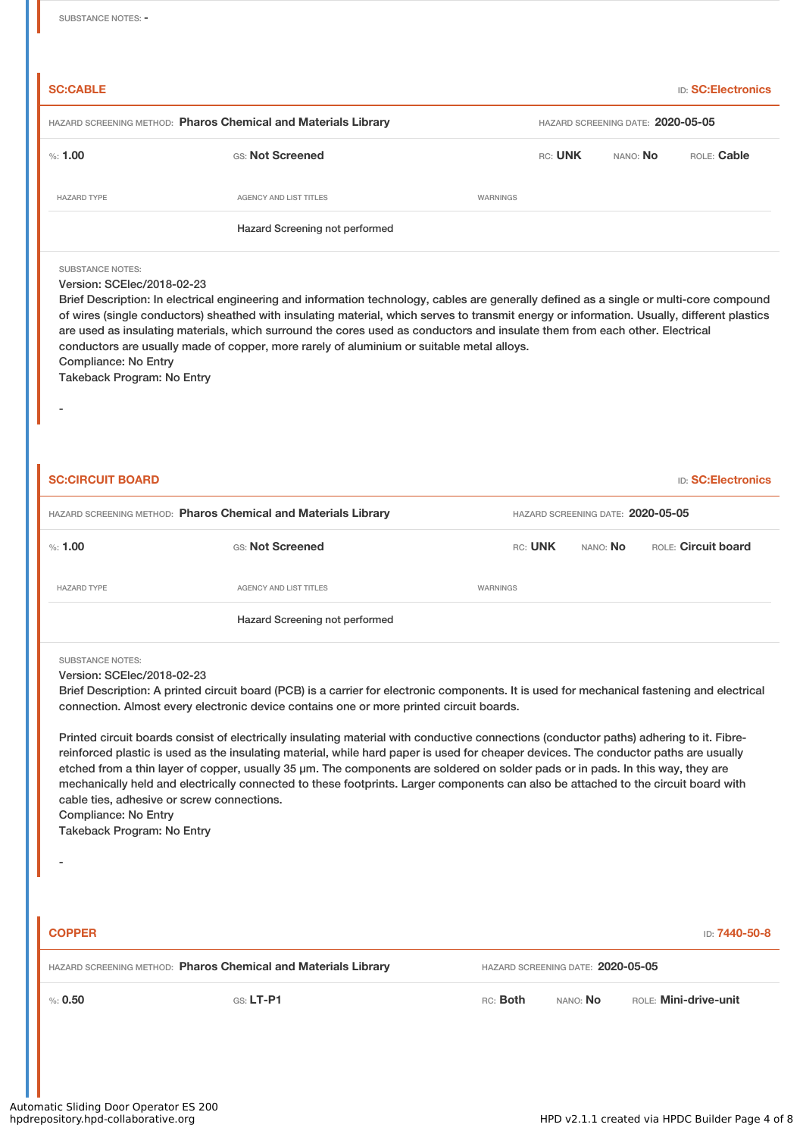| <b>SC:CABLE</b>         |                                                                |          |                                   |          | <b>ID: SC:Electronics</b> |
|-------------------------|----------------------------------------------------------------|----------|-----------------------------------|----------|---------------------------|
|                         | HAZARD SCREENING METHOD: Pharos Chemical and Materials Library |          | HAZARD SCREENING DATE: 2020-05-05 |          |                           |
| %: 1.00                 | GS: Not Screened                                               |          | RC: UNK                           | NANO: No | ROLE: Cable               |
| <b>HAZARD TYPE</b>      | AGENCY AND LIST TITLES                                         | WARNINGS |                                   |          |                           |
|                         | Hazard Screening not performed                                 |          |                                   |          |                           |
| <b>SUBSTANCE NOTES:</b> |                                                                |          |                                   |          |                           |

## Version: SCElec/2018-02-23

| Brief Description: In electrical engineering and information technology, cables are generally defined as a single or multi-core compound    |
|---------------------------------------------------------------------------------------------------------------------------------------------|
| of wires (single conductors) sheathed with insulating material, which serves to transmit energy or information. Usually, different plastics |
| are used as insulating materials, which surround the cores used as conductors and insulate them from each other. Electrical                 |
| conductors are usually made of copper, more rarely of aluminium or suitable metal alloys.                                                   |
| Compliance: No Entry                                                                                                                        |

Takeback Program: No Entry

-

| <b>SC:CIRCUIT BOARD</b> |                                                                |                                   |                 | <b>ID: SC:Electronics</b> |
|-------------------------|----------------------------------------------------------------|-----------------------------------|-----------------|---------------------------|
|                         | HAZARD SCREENING METHOD: Pharos Chemical and Materials Library | HAZARD SCREENING DATE: 2020-05-05 |                 |                           |
| %: 1.00                 | GS: Not Screened                                               | RC: UNK                           | nano: <b>No</b> | ROLE: Circuit board       |
| <b>HAZARD TYPE</b>      | AGENCY AND LIST TITLES                                         | WARNINGS                          |                 |                           |
|                         | Hazard Screening not performed                                 |                                   |                 |                           |

SUBSTANCE NOTES:

Version: SCElec/2018-02-23

Brief Description: A printed circuit board (PCB) is a carrier for electronic components. It is used for mechanical fastening and electrical connection. Almost every electronic device contains one or more printed circuit boards.

Printed circuit boards consist of electrically insulating material with conductive connections (conductor paths) adhering to it. Fibrereinforced plastic is used as the insulating material, while hard paper is used for cheaper devices. The conductor paths are usually etched from a thin layer of copper, usually 35 µm. The components are soldered on solder pads or in pads. In this way, they are mechanically held and electrically connected to these footprints. Larger components can also be attached to the circuit board with cable ties, adhesive or screw connections. Compliance: No Entry

Takeback Program: No Entry

-

| <b>COPPER</b>                                                  |             |                                   |                 | ID: 7440-50-8         |
|----------------------------------------------------------------|-------------|-----------------------------------|-----------------|-----------------------|
| HAZARD SCREENING METHOD: Pharos Chemical and Materials Library |             | HAZARD SCREENING DATE: 2020-05-05 |                 |                       |
| % 0.50                                                         | $GS: LT-PI$ | RC: Both                          | nano: <b>No</b> | ROLE: Mini-drive-unit |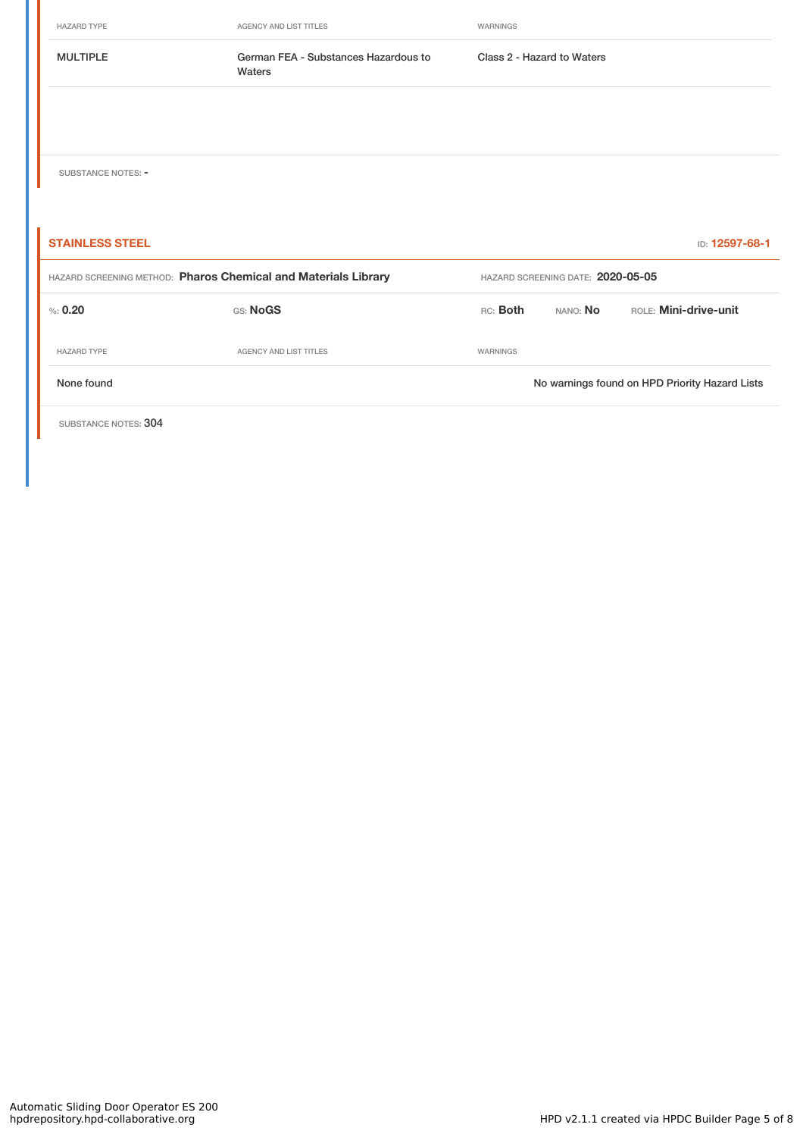HAZARD TYPE **AGENCY AND LIST TITLES** WARNINGS MULTIPLE German FEA - Substances Hazardous to Waters Class 2 - Hazard to Waters SUBSTANCE NOTES: -**STAINLESS STEEL** ID: **12597-68-1** HAZARD SCREENING METHOD: **Pharos Chemical and Materials Library** HAZARD SCREENING DATE: **2020-05-05** %: **0.20** GS: **NoGS** RC: **Both** NANO: **No** ROLE: **Mini-drive-unit** HAZARD TYPE **AGENCY AND LIST TITLES WARNINGS** None found Nowarnings found on HPD Priority Hazard Lists

SUBSTANCE NOTES: 304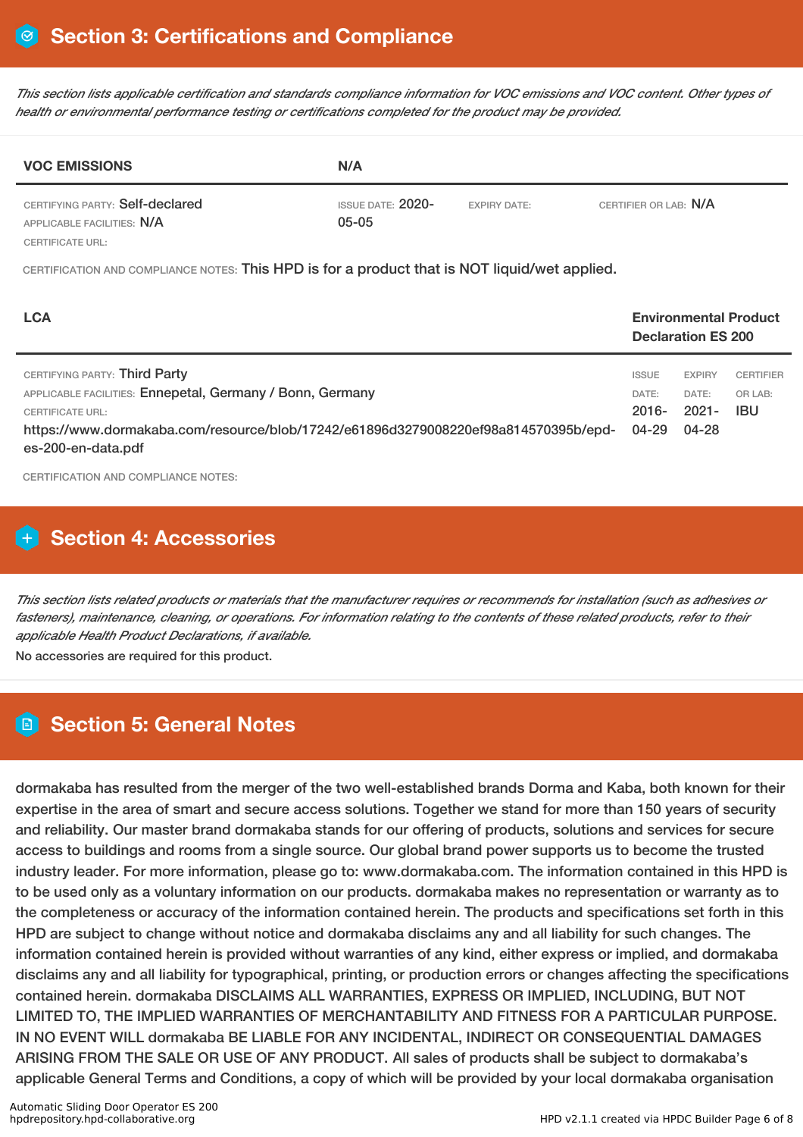This section lists applicable certification and standards compliance information for VOC emissions and VOC content. Other types of *health or environmental performance testing or certifications completed for the product may be provided.*

| <b>VOC EMISSIONS</b>                                          | N/A                               |                     |                       |
|---------------------------------------------------------------|-----------------------------------|---------------------|-----------------------|
| CERTIFYING PARTY: Self-declared<br>APPLICABLE FACILITIES: N/A | ISSUE DATE: $2020$ -<br>$05 - 05$ | <b>EXPIRY DATE:</b> | CERTIFIER OR LAB: N/A |
| CERTIFICATE URL:                                              |                                   |                     |                       |

CERTIFICATION AND COMPLIANCE NOTES: This HPD is for a product that is NOT liquid/wet applied.

| <b>LCA</b>                                                                                                                                                                                                                  |                                                | <b>Declaration ES 200</b>                   | <b>Environmental Product</b>        |
|-----------------------------------------------------------------------------------------------------------------------------------------------------------------------------------------------------------------------------|------------------------------------------------|---------------------------------------------|-------------------------------------|
| CERTIFYING PARTY: Third Party<br>APPLICABLE FACILITIES: Ennepetal, Germany / Bonn, Germany<br>CERTIFICATE URL:<br>https://www.dormakaba.com/resource/blob/17242/e61896d3279008220ef98a814570395b/epd-<br>es-200-en-data.pdf | <b>ISSUE</b><br>DATE:<br>$2016 -$<br>$04 - 29$ | <b>EXPIRY</b><br>DATE:<br>$2021 -$<br>04-28 | <b>CERTIFIER</b><br>OR LAB:<br>IBU. |

CERTIFICATION AND COMPLIANCE NOTES:

# **H** Section 4: Accessories

This section lists related products or materials that the manufacturer requires or recommends for installation (such as adhesives or fasteners), maintenance, cleaning, or operations. For information relating to the contents of these related products, refer to their *applicable Health Product Declarations, if available.*

No accessories are required for this product.

# **Section 5: General Notes**

dormakaba has resulted from the merger of the two well-established brands Dorma and Kaba, both known for their expertise in the area of smart and secure access solutions. Together we stand for more than 150 years of security and reliability. Our master brand dormakaba stands for our offering of products, solutions and services for secure access to buildings and rooms from a single source. Our global brand power supports us to become the trusted industry leader. For more information, please go to: www.dormakaba.com. The information contained in this HPD is to be used only as a voluntary information on our products. dormakaba makes no representation or warranty as to the completeness or accuracy of the information contained herein. The products and specifications set forth in this HPD are subject to change without notice and dormakaba disclaims any and all liability for such changes. The information contained herein is provided without warranties of any kind, either express or implied, and dormakaba disclaims any and all liability for typographical, printing, or production errors or changes affecting the specifications contained herein. dormakaba DISCLAIMS ALL WARRANTIES, EXPRESS OR IMPLIED, INCLUDING, BUT NOT LIMITED TO, THE IMPLIED WARRANTIES OF MERCHANTABILITY AND FITNESS FOR A PARTICULAR PURPOSE. IN NO EVENT WILL dormakaba BE LIABLE FOR ANY INCIDENTAL, INDIRECT OR CONSEQUENTIAL DAMAGES ARISING FROM THE SALE OR USE OF ANY PRODUCT. All sales of products shall be subject to dormakaba's applicable General Terms and Conditions, a copy of which will be provided by your local dormakaba organisation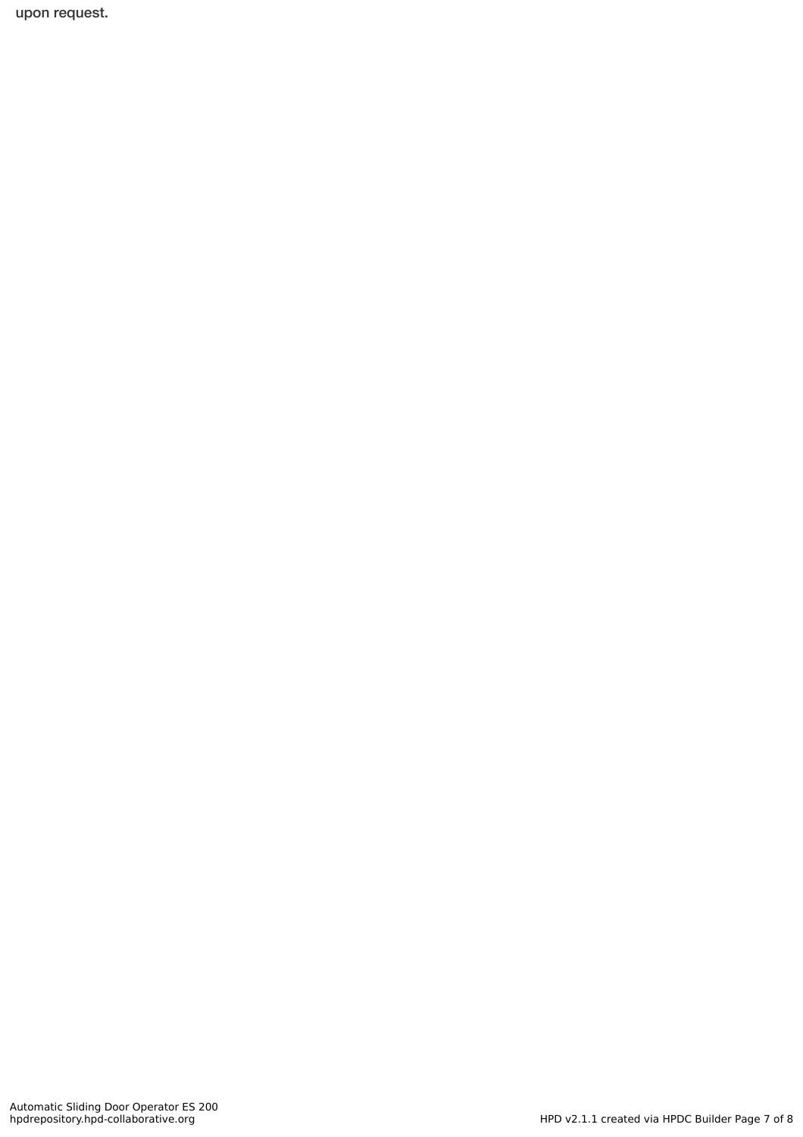upon request.